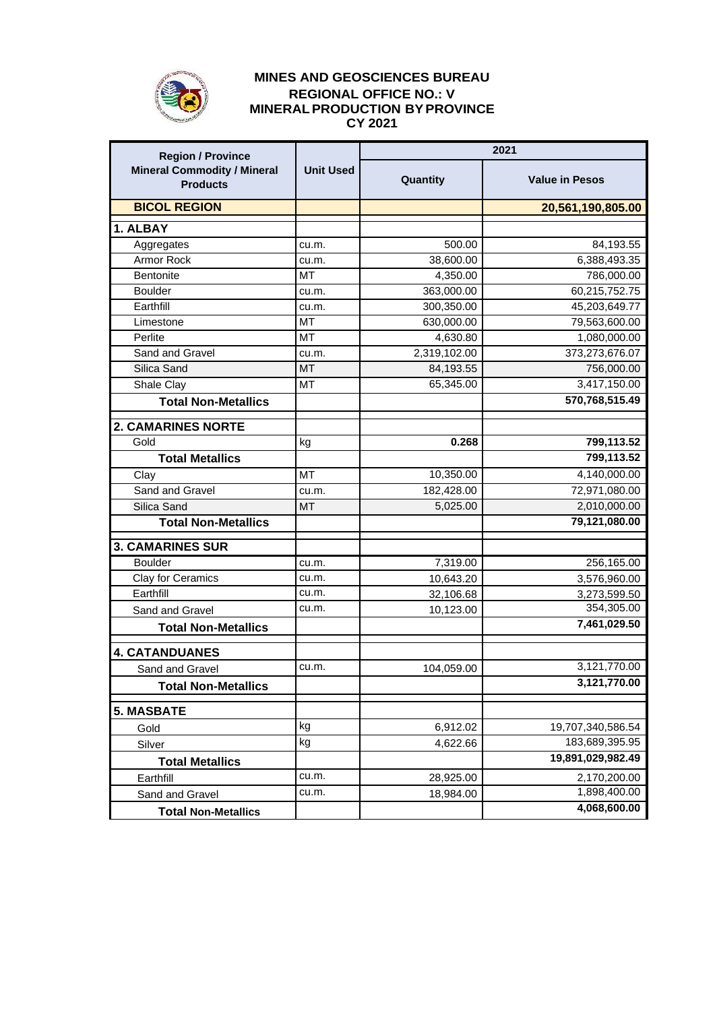

## **MINES AND GEOSCIENCES BUREAU REGIONAL OFFICE NO.: V MINERALPRODUCTION BYPROVINCE CY 2021**

| <b>Region / Province</b><br><b>Mineral Commodity / Mineral</b><br><b>Products</b> | <b>Unit Used</b> | 2021         |                              |
|-----------------------------------------------------------------------------------|------------------|--------------|------------------------------|
|                                                                                   |                  | Quantity     | <b>Value in Pesos</b>        |
| <b>BICOL REGION</b>                                                               |                  |              | 20,561,190,805.00            |
| 1. ALBAY                                                                          |                  |              |                              |
| Aggregates                                                                        | cu.m.            | 500.00       | 84,193.55                    |
| Armor Rock                                                                        | cu.m.            | 38,600.00    | 6,388,493.35                 |
| Bentonite                                                                         | <b>MT</b>        | 4,350.00     | 786,000.00                   |
| <b>Boulder</b>                                                                    | cu.m.            | 363,000.00   | 60,215,752.75                |
| Earthfill                                                                         | cu.m.            | 300,350.00   | 45,203,649.77                |
| Limestone                                                                         | MT               | 630,000.00   | 79,563,600.00                |
| Perlite                                                                           | <b>MT</b>        | 4,630.80     | 1,080,000.00                 |
| Sand and Gravel                                                                   | cu.m.            | 2,319,102.00 | 373,273,676.07               |
| Silica Sand                                                                       | <b>MT</b>        | 84,193.55    | 756,000.00                   |
| Shale Clay                                                                        | MT               | 65,345.00    | 3,417,150.00                 |
| <b>Total Non-Metallics</b>                                                        |                  |              | 570,768,515.49               |
| <b>2. CAMARINES NORTE</b>                                                         |                  |              |                              |
| Gold                                                                              | kg               | 0.268        | 799,113.52                   |
| <b>Total Metallics</b>                                                            |                  |              | 799,113.52                   |
| Clay                                                                              | <b>MT</b>        | 10,350.00    | 4,140,000.00                 |
| Sand and Gravel                                                                   | cu.m.            | 182,428.00   | 72,971,080.00                |
| Silica Sand                                                                       | <b>MT</b>        | 5,025.00     | 2,010,000.00                 |
| <b>Total Non-Metallics</b>                                                        |                  |              | 79,121,080.00                |
| <b>3. CAMARINES SUR</b>                                                           |                  |              |                              |
| <b>Boulder</b>                                                                    | cu.m.            | 7,319.00     | 256,165.00                   |
| <b>Clay for Ceramics</b>                                                          | cu.m.            | 10,643.20    | 3,576,960.00                 |
| Earthfill                                                                         | cu.m.            | 32,106.68    | 3,273,599.50                 |
| Sand and Gravel                                                                   | cu.m.            | 10,123.00    | 354,305.00                   |
| <b>Total Non-Metallics</b>                                                        |                  |              | 7,461,029.50                 |
| <b>4. CATANDUANES</b>                                                             |                  |              |                              |
| Sand and Gravel                                                                   | cu.m.            | 104,059.00   | 3,121,770.00                 |
| <b>Total Non-Metallics</b>                                                        |                  |              | 3,121,770.00                 |
| <b>5. MASBATE</b>                                                                 |                  |              |                              |
| Gold                                                                              | kg               | 6,912.02     | 19,707,340,586.54            |
| Silver                                                                            | kg               |              | 183,689,395.95               |
|                                                                                   |                  | 4,622.66     | 19,891,029,982.49            |
| <b>Total Metallics</b>                                                            |                  |              |                              |
| Earthfill                                                                         | cu.m.<br>cu.m.   | 28,925.00    | 2,170,200.00<br>1,898,400.00 |
| Sand and Gravel                                                                   |                  | 18,984.00    |                              |
| <b>Total Non-Metallics</b>                                                        |                  |              | 4,068,600.00                 |